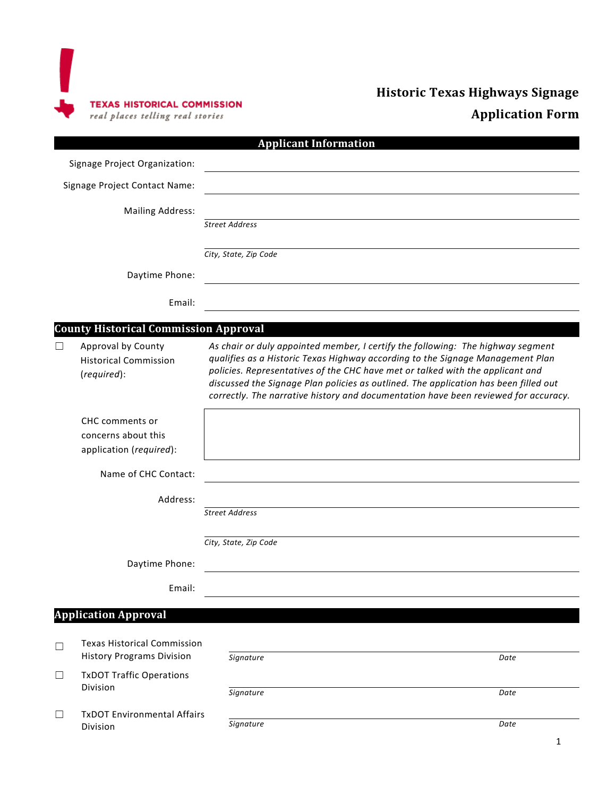

# **Historic Texas Highways Signage Application Form**

|                               |                                                                        | <b>Applicant Information</b>                                                                                                                                                                                                                                                                                                                                                                                                       |
|-------------------------------|------------------------------------------------------------------------|------------------------------------------------------------------------------------------------------------------------------------------------------------------------------------------------------------------------------------------------------------------------------------------------------------------------------------------------------------------------------------------------------------------------------------|
| Signage Project Organization: |                                                                        |                                                                                                                                                                                                                                                                                                                                                                                                                                    |
| Signage Project Contact Name: |                                                                        |                                                                                                                                                                                                                                                                                                                                                                                                                                    |
|                               | <b>Mailing Address:</b>                                                |                                                                                                                                                                                                                                                                                                                                                                                                                                    |
|                               |                                                                        | <b>Street Address</b>                                                                                                                                                                                                                                                                                                                                                                                                              |
|                               |                                                                        | City, State, Zip Code                                                                                                                                                                                                                                                                                                                                                                                                              |
|                               | Daytime Phone:                                                         |                                                                                                                                                                                                                                                                                                                                                                                                                                    |
|                               | Email:                                                                 |                                                                                                                                                                                                                                                                                                                                                                                                                                    |
|                               | <b>County Historical Commission Approval</b>                           |                                                                                                                                                                                                                                                                                                                                                                                                                                    |
| $\perp$                       | Approval by County<br><b>Historical Commission</b><br>(required):      | As chair or duly appointed member, I certify the following: The highway segment<br>qualifies as a Historic Texas Highway according to the Signage Management Plan<br>policies. Representatives of the CHC have met or talked with the applicant and<br>discussed the Signage Plan policies as outlined. The application has been filled out<br>correctly. The narrative history and documentation have been reviewed for accuracy. |
|                               | CHC comments or<br>concerns about this<br>application (required):      |                                                                                                                                                                                                                                                                                                                                                                                                                                    |
|                               | Name of CHC Contact:                                                   |                                                                                                                                                                                                                                                                                                                                                                                                                                    |
|                               | Address:                                                               |                                                                                                                                                                                                                                                                                                                                                                                                                                    |
|                               |                                                                        | <b>Street Address</b>                                                                                                                                                                                                                                                                                                                                                                                                              |
|                               |                                                                        | City, State, Zip Code                                                                                                                                                                                                                                                                                                                                                                                                              |
|                               | Daytime Phone:                                                         |                                                                                                                                                                                                                                                                                                                                                                                                                                    |
|                               | Email:                                                                 |                                                                                                                                                                                                                                                                                                                                                                                                                                    |
|                               | <b>Application Approval</b>                                            |                                                                                                                                                                                                                                                                                                                                                                                                                                    |
| $\Box$                        | <b>Texas Historical Commission</b><br><b>History Programs Division</b> | Signature<br>Date                                                                                                                                                                                                                                                                                                                                                                                                                  |
| $\Box$                        | <b>TxDOT Traffic Operations</b>                                        |                                                                                                                                                                                                                                                                                                                                                                                                                                    |
|                               | Division                                                               | Signature<br>Date                                                                                                                                                                                                                                                                                                                                                                                                                  |
| $\Box$                        | <b>TxDOT Environmental Affairs</b>                                     |                                                                                                                                                                                                                                                                                                                                                                                                                                    |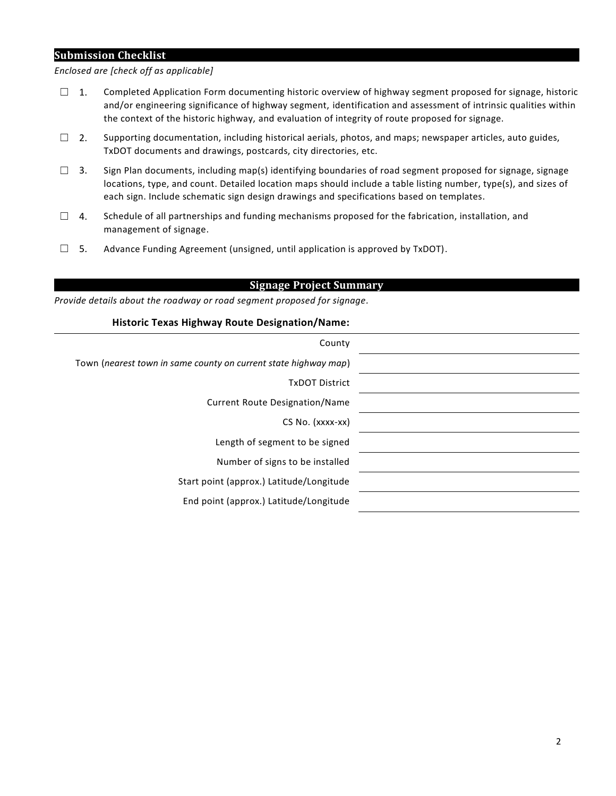#### **Submission Checklist**

*Enclosed are [check off as applicable]*

- $\Box$  1. Completed Application Form documenting historic overview of highway segment proposed for signage, historic and/or engineering significance of highway segment, identification and assessment of intrinsic qualities within the context of the historic highway, and evaluation of integrity of route proposed for signage.
- $\Box$  2. Supporting documentation, including historical aerials, photos, and maps; newspaper articles, auto guides, TxDOT documents and drawings, postcards, city directories, etc.
- $\Box$  3. Sign Plan documents, including map(s) identifying boundaries of road segment proposed for signage, signage locations, type, and count. Detailed location maps should include a table listing number, type(s), and sizes of each sign. Include schematic sign design drawings and specifications based on templates.
- ☐ 4. Schedule of all partnerships and funding mechanisms proposed for the fabrication, installation, and management of signage.
- $\square$  5. Advance Funding Agreement (unsigned, until application is approved by TxDOT).

#### **Signage Project Summary**

*Provide details about the roadway or road segment proposed for signage.*

#### **Historic Texas Highway Route Designation/Name:**

| County                                                          |  |  |
|-----------------------------------------------------------------|--|--|
| Town (nearest town in same county on current state highway map) |  |  |
| <b>TxDOT District</b>                                           |  |  |
| <b>Current Route Designation/Name</b>                           |  |  |
| CS No. (xxxx-xx)                                                |  |  |
| Length of segment to be signed                                  |  |  |
| Number of signs to be installed                                 |  |  |
| Start point (approx.) Latitude/Longitude                        |  |  |
| End point (approx.) Latitude/Longitude                          |  |  |
|                                                                 |  |  |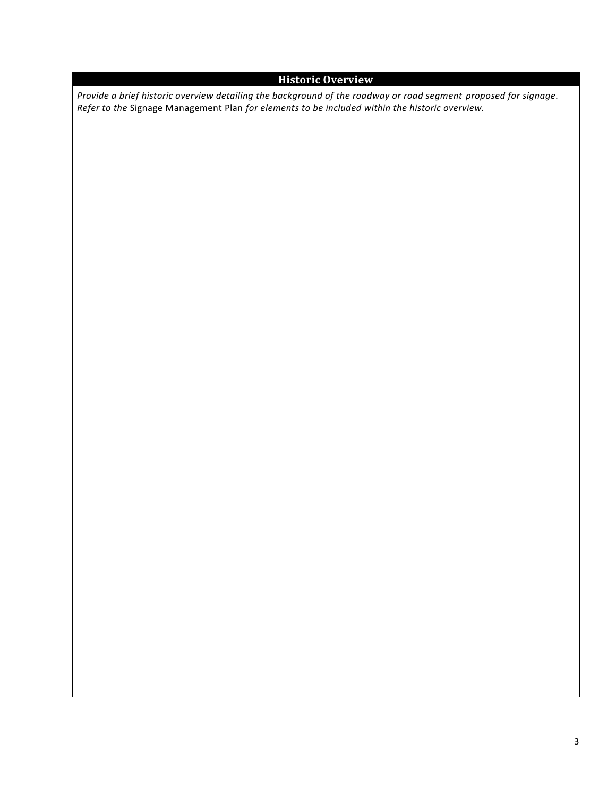## **Historic Overview**

*Provide a brief historic overview detailing the background of the roadway or road segment proposed for signage. Refer to the* Signage Management Plan *for elements to be included within the historic overview.*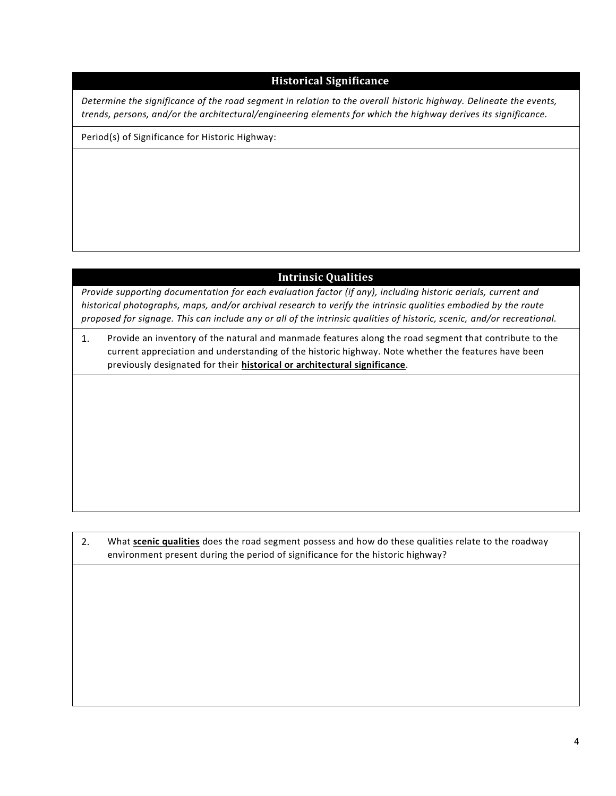#### **Historical Significance**

*Determine the significance of the road segment in relation to the overall historic highway. Delineate the events, trends, persons, and/or the architectural/engineering elements for which the highway derives its significance.* 

Period(s) of Significance for Historic Highway:

### **Intrinsic Qualities**

*Provide supporting documentation for each evaluation factor (if any), including historic aerials, current and historical photographs, maps, and/or archival research to verify the intrinsic qualities embodied by the route proposed for signage. This can include any or all of the intrinsic qualities of historic, scenic, and/or recreational.*

1. Provide an inventory of the natural and manmade features along the road segment that contribute to the current appreciation and understanding of the historic highway. Note whether the features have been previously designated for their **historical or architectural significance**.

2. What **scenic qualities** does the road segment possess and how do these qualities relate to the roadway environment present during the period of significance for the historic highway?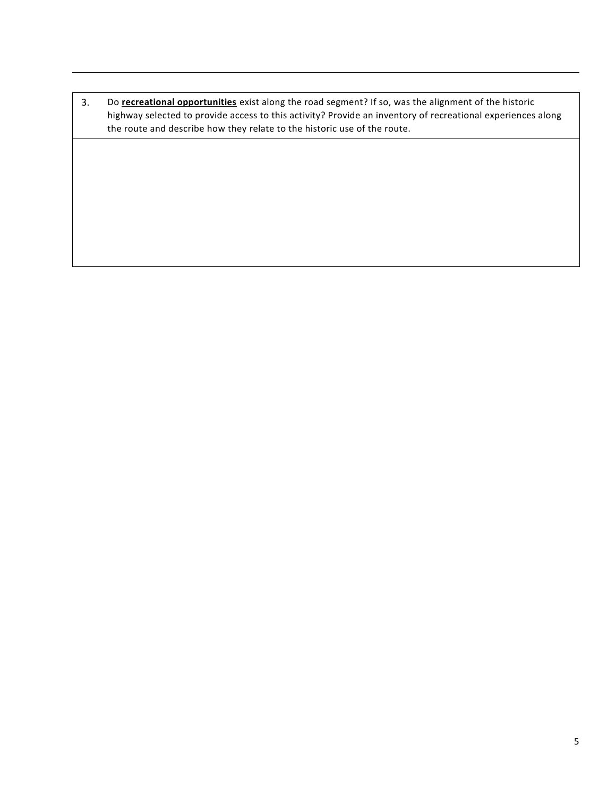3. Do **recreational opportunities** exist along the road segment? If so, was the alignment of the historic highway selected to provide access to this activity? Provide an inventory of recreational experiences along the route and describe how they relate to the historic use of the route.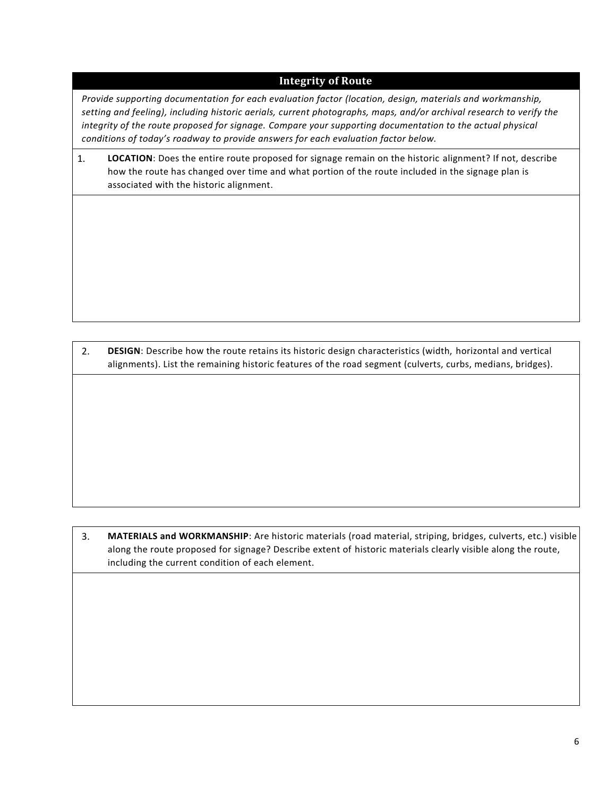### **Integrity of Route**

*Provide supporting documentation for each evaluation factor (location, design, materials and workmanship, setting and feeling), including historic aerials, current photographs, maps, and/or archival research to verify the integrity of the route proposed for signage. Compare your supporting documentation to the actual physical conditions of today's roadway to provide answers for each evaluation factor below.*

1. **LOCATION**: Does the entire route proposed for signage remain on the historic alignment? If not, describe how the route has changed over time and what portion of the route included in the signage plan is associated with the historic alignment.

2. **DESIGN**: Describe how the route retains its historic design characteristics (width, horizontal and vertical alignments). List the remaining historic features of the road segment (culverts, curbs, medians, bridges).

3. **MATERIALS and WORKMANSHIP**: Are historic materials (road material, striping, bridges, culverts, etc.) visible along the route proposed for signage? Describe extent of historic materials clearly visible along the route, including the current condition of each element.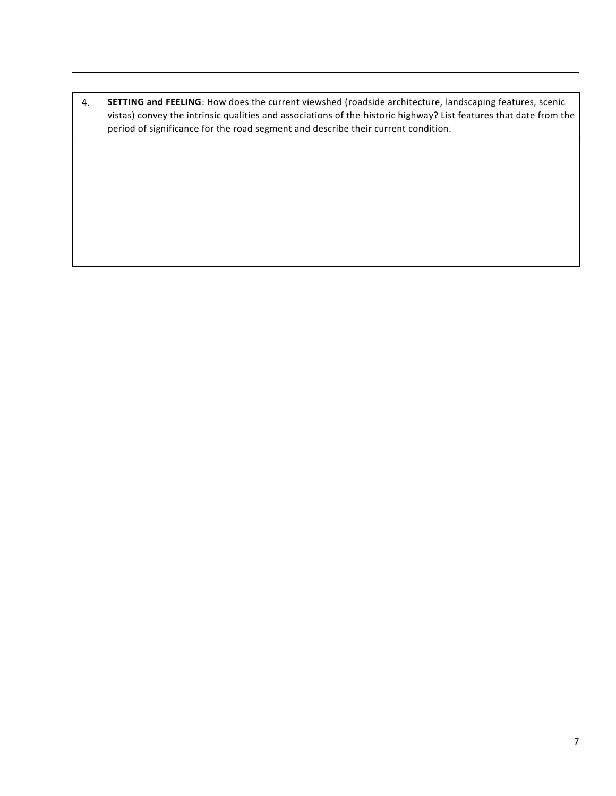4. **SETTING and FEELING**: How does the current viewshed (roadside architecture, landscaping features, scenic vistas) convey the intrinsic qualities and associations of the historic highway? List features that date from the period of significance for the road segment and describe their current condition.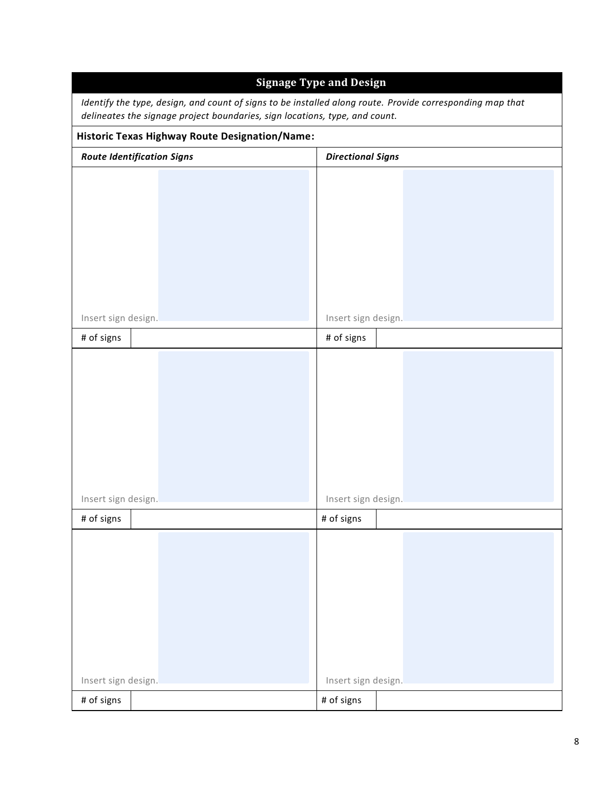| <b>Signage Type and Design</b><br>Identify the type, design, and count of signs to be installed along route. Provide corresponding map that<br>delineates the signage project boundaries, sign locations, type, and count.<br><b>Historic Texas Highway Route Designation/Name:</b> |                     |  |  |  |
|-------------------------------------------------------------------------------------------------------------------------------------------------------------------------------------------------------------------------------------------------------------------------------------|---------------------|--|--|--|
|                                                                                                                                                                                                                                                                                     |                     |  |  |  |
|                                                                                                                                                                                                                                                                                     |                     |  |  |  |
| Insert sign design.                                                                                                                                                                                                                                                                 | Insert sign design. |  |  |  |
| # of signs                                                                                                                                                                                                                                                                          | # of signs          |  |  |  |
| Insert sign design.                                                                                                                                                                                                                                                                 | Insert sign design. |  |  |  |
| # of signs                                                                                                                                                                                                                                                                          | # of signs          |  |  |  |
|                                                                                                                                                                                                                                                                                     |                     |  |  |  |
| Insert sign design.                                                                                                                                                                                                                                                                 | Insert sign design. |  |  |  |
| # of signs                                                                                                                                                                                                                                                                          | # of signs          |  |  |  |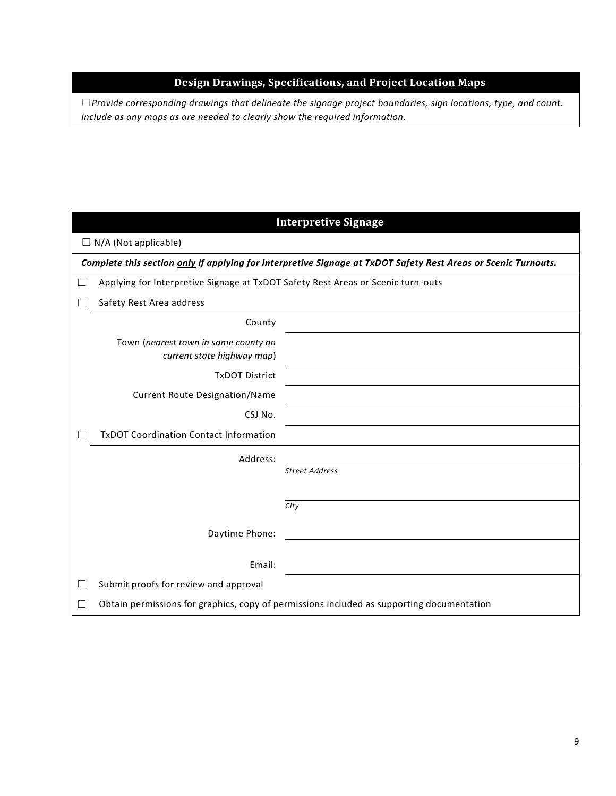### **Design Drawings, Specifications, and Project Location Maps**

☐*Provide corresponding drawings that delineate the signage project boundaries, sign locations, type, and count. Include as any maps as are needed to clearly show the required information.*

| <b>Interpretive Signage</b>                                                                                    |                                                                                           |                       |  |  |  |
|----------------------------------------------------------------------------------------------------------------|-------------------------------------------------------------------------------------------|-----------------------|--|--|--|
| $\Box$ N/A (Not applicable)                                                                                    |                                                                                           |                       |  |  |  |
| Complete this section only if applying for Interpretive Signage at TxDOT Safety Rest Areas or Scenic Turnouts. |                                                                                           |                       |  |  |  |
| □                                                                                                              | Applying for Interpretive Signage at TxDOT Safety Rest Areas or Scenic turn-outs          |                       |  |  |  |
| $\Box$                                                                                                         | Safety Rest Area address                                                                  |                       |  |  |  |
|                                                                                                                | County                                                                                    |                       |  |  |  |
|                                                                                                                | Town (nearest town in same county on<br>current state highway map)                        |                       |  |  |  |
|                                                                                                                | <b>TxDOT District</b>                                                                     |                       |  |  |  |
|                                                                                                                | <b>Current Route Designation/Name</b>                                                     |                       |  |  |  |
|                                                                                                                | CSJ No.                                                                                   |                       |  |  |  |
| $\Box$                                                                                                         | <b>TxDOT Coordination Contact Information</b>                                             |                       |  |  |  |
|                                                                                                                | Address:                                                                                  |                       |  |  |  |
|                                                                                                                |                                                                                           | <b>Street Address</b> |  |  |  |
|                                                                                                                |                                                                                           |                       |  |  |  |
|                                                                                                                |                                                                                           | City                  |  |  |  |
|                                                                                                                | Daytime Phone:                                                                            |                       |  |  |  |
|                                                                                                                | Email:                                                                                    |                       |  |  |  |
| $\Box$                                                                                                         | Submit proofs for review and approval                                                     |                       |  |  |  |
| □                                                                                                              | Obtain permissions for graphics, copy of permissions included as supporting documentation |                       |  |  |  |